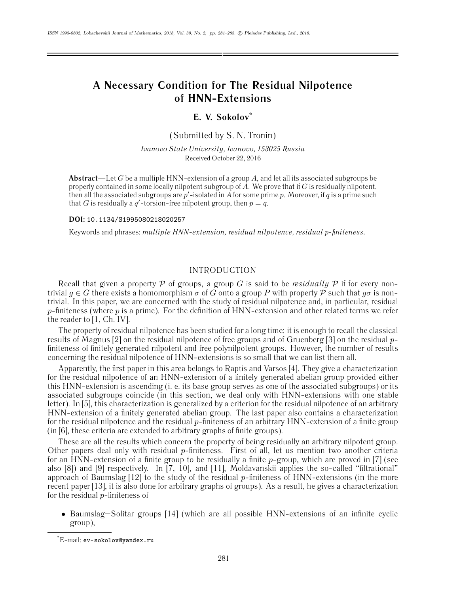# **A Necessary Condition for The Residual Nilpotence of HNN-Extensions**

# **E. V. Sokolov\***

(Submitted by S. N. Tronin)

*Ivanovo State University, Ivanovo, 153025 Russia* Received October 22, 2016

**Abstract**—Let G be a multiple HNN-extension of a group A, and let all its associated subgroups be properly contained in some locally nilpotent subgroup of  $A$ . We prove that if  $G$  is residually nilpotent, then all the associated subgroups are  $p'$ -isolated in  $A$  for some prime  $p$ . Moreover, if  $q$  is a prime such that G is residually a  $q'$ -torsion-free nilpotent group, then  $p = q$ .

**DOI:** 10.1134/S1995080218020257

Keywords and phrases: *multiple HNN-extension, residual nilpotence, residual* p*-finiteness.*

## INTRODUCTION

Recall that given a property  $P$  of groups, a group G is said to be *residually*  $P$  if for every nontrivial  $q \in G$  there exists a homomorphism  $\sigma$  of  $\tilde{G}$  onto a group P with property P such that  $g\sigma$  is nontrivial. In this paper, we are concerned with the study of residual nilpotence and, in particular, residual  $p$ -finiteness (where p is a prime). For the definition of HNN-extension and other related terms we refer the reader to [1, Ch. IV].

The property of residual nilpotence has been studied for a long time: it is enough to recall the classical results of Magnus [2] on the residual nilpotence of free groups and of Gruenberg [3] on the residual pfiniteness of finitely generated nilpotent and free polynilpotent groups. However, the number of results concerning the residual nilpotence of HNN-extensions is so small that we can list them all.

Apparently, the first paper in this area belongs to Raptis and Varsos [4]. They give a characterization for the residual nilpotence of an HNN-extension of a finitely generated abelian group provided either this HNN-extension is ascending (i. e. its base group serves as one of the associated subgroups) or its associated subgroups coincide (in this section, we deal only with HNN-extensions with one stable letter). In [5], this characterization is generalized by a criterion for the residual nilpotence of an arbitrary HNN-extension of a finitely generated abelian group. The last paper also contains a characterization for the residual nilpotence and the residual  $p$ -finiteness of an arbitrary  $HNN-$ extension of a finite group (in [6], these criteria are extended to arbitrary graphs of finite groups).

These are all the results which concern the property of being residually an arbitrary nilpotent group. Other papers deal only with residual  $p$ -finiteness. First of all, let us mention two another criteria for an HNN-extension of a finite group to be residually a finite  $p$ -group, which are proved in [7] (see also [8]) and [9] respectively. In [7, 10], and [11], Moldavanskii applies the so-called "filtrational" approach of Baumslag  $[12]$  to the study of the residual p-finiteness of HNN-extensions (in the more recent paper [13], it is also done for arbitrary graphs of groups). As a result, he gives a characterization for the residual  $p$ -finiteness of

• Baumslag–Solitar groups [14] (which are all possible HNN-extensions of an infinite cyclic group),

<sup>\*</sup> E-mail: ev-sokolov@yandex.ru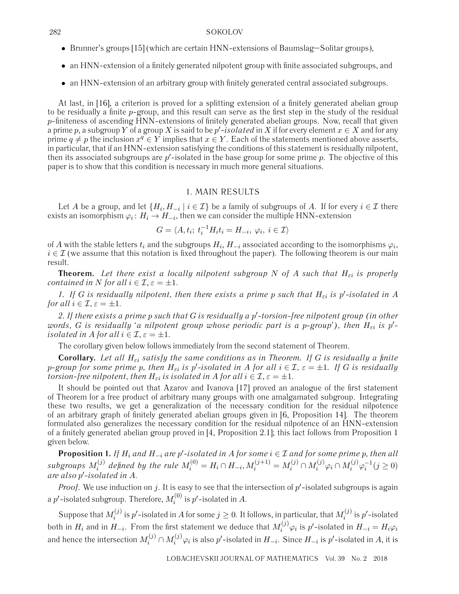#### 282 SOKOLOV

- Brunner's groups [15] (which are certain HNN-extensions of Baumslag–Solitar groups),
- an HNN-extension of a finitely generated nilpotent group with finite associated subgroups, and
- an HNN-extension of an arbitrary group with finitely generated central associated subgroups.

At last, in [16], a criterion is proved for a splitting extension of a finitely generated abelian group to be residually a finite p-group, and this result can serve as the first step in the study of the residual  $p$ -finiteness of ascending HNN-extensions of finitely generated abelian groups. Now, recall that given a prime  $p$ , a subgroup  $Y$  of a group  $X$  is said to be  $p'$ *-isolated* in  $X$  if for every element  $x \in X$  and for any prime  $q \neq p$  the inclusion  $x^q \in Y$  implies that  $x \in Y$ . Each of the statements mentioned above asserts, in particular, that if an HNN-extension satisfying the conditions of this statement is residually nilpotent, then its associated subgroups are  $p^\prime$ -isolated in the base group for some prime  $p.$  The objective of this paper is to show that this condition is necessary in much more general situations.

## 1. MAIN RESULTS

Let A be a group, and let  $\{H_i, H_{-i} \mid i \in \mathcal{I}\}$  be a family of subgroups of A. If for every  $i \in \mathcal{I}$  there exists an isomorphism  $\varphi_i : H_i \to H_{-i}$ , then we can consider the multiple HNN-extension

$$
G = \langle A, t_i; t_i^{-1} H_i t_i = H_{-i}, \varphi_i, i \in \mathcal{I} \rangle
$$

of A with the stable letters  $t_i$  and the subgroups  $H_i$ ,  $H_{-i}$  associated according to the isomorphisms  $\varphi_i$ ,  $i \in \mathcal{I}$  (we assume that this notation is fixed throughout the paper). The following theorem is our main result.

**Theorem.** Let there exist a locally nilpotent subgroup N of A such that  $H_{\varepsilon i}$  is properly *contained in* N *for all*  $i \in \mathcal{I}, \varepsilon = \pm 1$ .

1. If G is residually nilpotent, then there exists a prime p such that  $H_{\varepsilon i}$  is p'-isolated in A *for all*  $i \in \mathcal{I}, \varepsilon = \pm 1$ .

2. If there exists a prime p such that G is residually a p'-torsion-free nilpotent group (in other *words, G* is residually 'a nilpotent group whose periodic part is a p-group'), then  $H_{\varepsilon i}$  is  $p'$ *isolated in A for all*  $i \in \mathcal{I}, \varepsilon = \pm 1$ .

The corollary given below follows immediately from the second statement of Theorem.

**Corollary.** Let all  $H_{\varepsilon i}$  satisfy the same conditions as in Theorem. If G is residually a finite p-group for some prime p, then  $H_{\varepsilon i}$  is p'-isolated in A for all  $i \in \mathcal{I}$ ,  $\varepsilon = \pm 1$ . If G is residually *torsion-free nilpotent, then*  $H_{\varepsilon i}$  *is isolated in* A *for all*  $i \in \mathcal{I}, \varepsilon = \pm 1$ .

It should be pointed out that Azarov and Ivanova [17] proved an analogue of the first statement of Theorem for a free product of arbitrary many groups with one amalgamated subgroup. Integrating these two results, we get a generalization of the necessary condition for the residual nilpotence of an arbitrary graph of finitely generated abelian groups given in [6, Proposition 14]. The theorem formulated also generalizes the necessary condition for the residual nilpotence of an HNN-extension of a finitely generated abelian group proved in [4, Proposition 2.1]; this fact follows from Proposition 1 given below.

**Proposition 1.** *If*  $H_i$  *and*  $H_{-i}$  *are*  $p'$ -isolated in A for some  $i \in I$  *and* for some prime  $p$ , then all  $subgroups M_i^{(j)}$  defined by the rule  $M_i^{(0)} = H_i \cap H_{-i}, M_i^{(j+1)} = M_i^{(j)} \cap M_i^{(j)} \varphi_i \cap M_i^{(j)} \varphi_i^{-1} (j \geq 0)$ *are also* p- *-isolated in* A.

*Proof.* We use induction on  $j$ . It is easy to see that the intersection of  $p'$ -isolated subgroups is again a  $p'$ -isolated subgroup. Therefore,  $M_i^{(0)}$  is  $p'$ -isolated in  $A.$ 

Suppose that  $M_i^{(j)}$  is  $p'$ -isolated in  $A$  for some  $j\geq 0$ . It follows, in particular, that  $M_i^{(j)}$  is  $p'$ -isolated both in  $H_i$  and in  $H_{-i}$ . From the first statement we deduce that  $M_i^{(j)}\varphi_i$  is  $p'$ -isolated in  $H_{-i}=H_i\varphi_i$ and hence the intersection  $M_i^{(j)} \cap M_i^{(j)} \varphi_i$  is also  $p'$ -isolated in  $H_{-i}.$  Since  $H_{-i}$  is  $p'$ -isolated in  $A,$  it is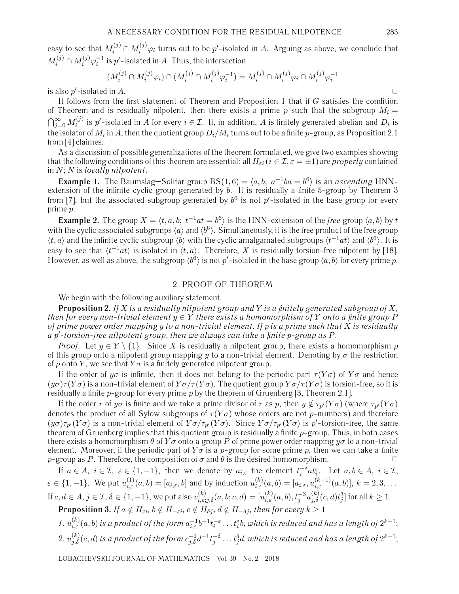easy to see that  $M_i^{(j)} \cap M_i^{(j)} \varphi_i$  turns out to be  $p'$ -isolated in  $A$ . Arguing as above, we conclude that  $M_i^{(j)} \cap M_i^{(j)} \varphi_i^{-1}$  is  $p'$ -isolated in  $A.$  Thus, the intersection

$$
(M_i^{(j)} \cap M_i^{(j)} \varphi_i) \cap (M_i^{(j)} \cap M_i^{(j)} \varphi_i^{-1}) = M_i^{(j)} \cap M_i^{(j)} \varphi_i \cap M_i^{(j)} \varphi_i^{-1}
$$

is also p'-isolated in A.  $\Box$ 

It follows from the first statement of Theorem and Proposition 1 that if G satisfies the condition of Theorem and is residually nilpotent, then there exists a prime p such that the subgroup  $M_i =$  $\bigcap_{j=0}^\infty M_i^{(j)}$  is  $p'$ -isolated in  $A$  for every  $i\in\mathcal{I}.$  If, in addition,  $A$  is finitely generated abelian and  $D_i$  is the isolator of  $M_i$  in  $A$ , then the quotient group  $D_i/M_i$  turns out to be a finite  $p$ -group, as Proposition 2.1 from [4] claimes.

As a discussion of possible generalizations of the theorem formulated, we give two examples showing that the following conditions of this theorem are essential: all  $H_{\varepsilon i}$  ( $i \in \mathcal{I}, \varepsilon = \pm 1$ ) are *properly* contained in N; N is *locally nilpotent*.

**Example 1.** The Baumslag–Solitar group BS(1,6) =  $\langle a, b; a^{-1}ba = b^6 \rangle$  is an *ascending* HNNextension of the infinite cyclic group generated by b. It is residually a finite 5-group by Theorem 3 from [7], but the associated subgroup generated by  $b^6$  is not  $p'$ -isolated in the base group for every prime p.

**Example 2.** The group  $X = \langle t, a, b; t^{-1}at = b^6 \rangle$  is the HNN-extension of the *free* group  $\langle a, b \rangle$  by t with the cyclic associated subgroups  $\langle a \rangle$  and  $\langle b^6 \rangle$ . Simultaneously, it is the free product of the free group  $\langle t, a \rangle$  and the infinite cyclic subgroup  $\langle b \rangle$  with the cyclic amalgamated subgroups  $\langle t^{-1}at \rangle$  and  $\langle b^6 \rangle$ . It is easy to see that  $\langle t^{-1}at \rangle$  is isolated in  $\langle t, a \rangle$ . Therefore, X is residually torsion-free nilpotent by [18]. However, as well as above, the subgroup  $\langle b^6 \rangle$  is not  $p'$ -isolated in the base group  $\langle a, b \rangle$  for every prime  $p$ .

## 2. PROOF OF THEOREM

We begin with the following auxiliary statement.

**Proposition 2.** *If* X *is a residually nilpotent group and* Y *is a finitely generated subgroup of* X*, then for every non-trivial element*  $y \in Y$  *there exists a homomorphism of* Y *onto a finite group* P *of prime power order mapping* y *to a non-trivial element. If* p *is a prime such that* X *is residually a* p- *-torsion-free nilpotent group, then we always can take a finite* p*-group as* P.

*Proof.* Let  $y \in Y \setminus \{1\}$ . Since X is residually a nilpotent group, there exists a homomorphism  $\rho$ of this group onto a nilpotent group mapping y to a non-trivial element. Denoting by  $\sigma$  the restriction of  $\rho$  onto Y, we see that  $Y\sigma$  is a finitely generated nilpotent group.

If the order of  $y\sigma$  is infinite, then it does not belong to the periodic part  $\tau(Y\sigma)$  of  $Y\sigma$  and hence  $(y\sigma)\tau(Y\sigma)$  is a non-trivial element of  $Y\sigma/\tau(Y\sigma)$ . The quotient group  $Y\sigma/\tau(Y\sigma)$  is torsion-free, so it is residually a finite p-group for every prime p by the theorem of Gruenberg [3, Theorem 2.1].

If the order r of  $y\sigma$  is finite and we take a prime divisor of r as p, then  $y \notin \tau_{p'}(Y\sigma)$  (where  $\tau_{p'}(Y\sigma)$ ) denotes the product of all Sylow subgroups of  $\tau(Y\sigma)$  whose orders are not p-numbers) and therefore  $(y\sigma)\tau_{p'}(Y\sigma)$  is a non-trivial element of  $Y\sigma/\tau_{p'}(Y\sigma)$ . Since  $Y\sigma/\tau_{p'}(Y\sigma)$  is  $p'$ -torsion-free, the same theorem of Gruenberg implies that this quotient group is residually a finite  $p$ -group. Thus, in both cases there exists a homomorphism  $\theta$  of  $Y\sigma$  onto a group  $\vec{P}$  of prime power order mapping  $y\sigma$  to a non-trivial element. Moreover, if the periodic part of  $Y\sigma$  is a p-group for some prime p, then we can take a finite p-group as P. Therefore, the composition of  $\sigma$  and  $\theta$  is the desired homomorphism.

If  $a \in A$ ,  $i \in \mathcal{I}$ ,  $\varepsilon \in \{1, -1\}$ , then we denote by  $a_{i,\varepsilon}$  the element  $t_i^{-\varepsilon} a t_i^{\varepsilon}$ . Let  $a, b \in A$ ,  $i \in \mathcal{I}$ ,  $\varepsilon \in \{1, -1\}$ . We put  $u_{i,\varepsilon}^{(1)}(a, b) = [a_{i,\varepsilon}, b]$  and by induction  $u_{i,\varepsilon}^{(k)}(a, b) = [a_{i,\varepsilon}, u_{i,\varepsilon}^{(k-1)}(a, b)], k = 2, 3, \ldots$ If  $c,d\in A,$   $j\in\mathcal{I},$   $\delta\in\{1,-1\},$  we put also  $v_{i,\varepsilon;j,\delta}^{(k)}(a,b;c,d)=[u_{i,\varepsilon}^{(k)}(a,b),t_j^{-3}u_{j,\delta}^{(k)}(c,d)t_j^3]$  for all  $k\geq1.$ 

**Proposition 3.** *If*  $a \notin H_{\epsilon i}$ ,  $b \notin H_{-\epsilon i}$ ,  $c \notin H_{\delta j}$ ,  $d \notin H_{-\delta j}$ , then for every  $k \geq 1$ 

1.  $u_{i,\varepsilon}^{(k)}(a,b)$  is a product of the form  $a_{i,\varepsilon}^{-1}b^{-1}t_i^{-\varepsilon}\ldots t_i^{\varepsilon}b,$  which is reduced and has a length of  $2^{k+1};$  $2.~u^{(k)}_{j,\delta}(c,d)$  is a product of the form  $c_{j,\delta}^{-1}d^{-1}t_j^{-\delta}\ldots t_j^\delta d$ , which is reduced and has a length of  $2^{k+1};$ 

LOBACHEVSKII JOURNAL OF MATHEMATICS Vol. 39 No. 2 2018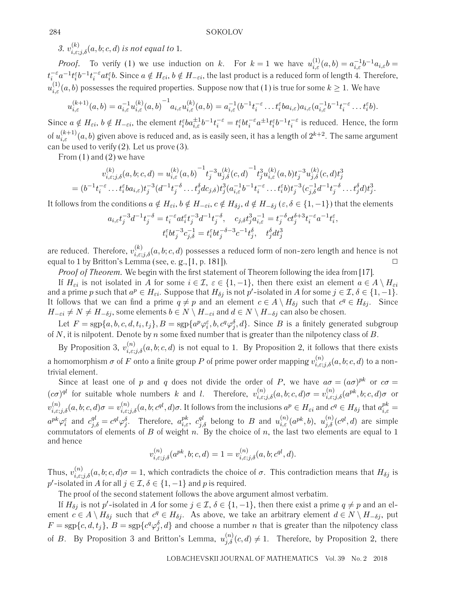3.  $v_{i,\varepsilon;j,\delta}^{(k)}(a,b;c,d)$  *is not equal to* 1.

*Proof.* To verify (1) we use induction on k. For  $k = 1$  we have  $u_{i,\varepsilon}^{(1)}(a,b) = a_{i,\varepsilon}^{-1}b^{-1}a_{i,\varepsilon}b =$  $t_i^{-\varepsilon}a^{-1}t_i^{\varepsilon}b^{-1}t_i^{-\varepsilon}at_i^{\varepsilon}b.$  Since  $a\notin H_{\varepsilon i},$   $b\notin H_{-\varepsilon i},$  the last product is a reduced form of length 4. Therefore,  $u_{i,\varepsilon}^{(1)}(a,b)$  possesses the required properties. Suppose now that (1) is true for some  $k\geq 1.$  We have

$$
u_{i,\varepsilon}^{(k+1)}(a,b) = a_{i,\varepsilon}^{-1} u_{i,\varepsilon}^{(k)}(a,b)^{-1} a_{i,\varepsilon} u_{i,\varepsilon}^{(k)}(a,b) = a_{i,\varepsilon}^{-1} (b^{-1} t_i^{-\varepsilon} \dots t_i^{\varepsilon} b a_{i,\varepsilon}) a_{i,\varepsilon} (a_{i,\varepsilon}^{-1} b^{-1} t_i^{-\varepsilon} \dots t_i^{\varepsilon} b).
$$

Since  $a \notin H_{\epsilon i}$ ,  $b \notin H_{-\epsilon i}$ , the element  $t_i^{\epsilon}ba_{i,\epsilon}^{\pm 1}b^{-1}t_i^{-\epsilon} = t_i^{\epsilon}bt_i^{-\epsilon}a^{\pm 1}t_i^{\epsilon}b^{-1}t_i^{-\epsilon}$  is reduced. Hence, the form of  $u_{i,\varepsilon}^{(k+1)}(a,b)$  given above is reduced and, as is easily seen, it has a length of  $2^{k+2}.$  The same argument can be used to verify  $(2)$ . Let us prove  $(3)$ .

From (1) and (2) we have

$$
v_{i,\varepsilon;j,\delta}^{(k)}(a,b;c,d) = u_{i,\varepsilon}^{(k)}(a,b)^{-1} t_j^{-3} u_{j,\delta}^{(k)}(c,d)^{-1} t_j^{3} u_{i,\varepsilon}^{(k)}(a,b) t_j^{-3} u_{j,\delta}^{(k)}(c,d) t_j^{3}
$$
  
= 
$$
(b^{-1} t_i^{-\varepsilon} \dots t_i^{\varepsilon} b a_{i,\varepsilon}) t_j^{-3} (d^{-1} t_j^{-\delta} \dots t_j^{\delta} d c_{j,\delta}) t_j^{3} (a_{i,\varepsilon}^{-1} b^{-1} t_i^{-\varepsilon} \dots t_i^{\varepsilon} b) t_j^{-3} (c_{j,\delta}^{-1} d^{-1} t_j^{-\delta} \dots t_j^{\delta} d) t_j^{3}.
$$

It follows from the conditions  $a \notin H_{\epsilon i}$ ,  $b \notin H_{-\epsilon i}$ ,  $c \notin H_{\delta j}$ ,  $d \notin H_{-\delta j}$  ( $\epsilon, \delta \in \{1, -1\}$ ) that the elements

$$
a_{i,\varepsilon}t_j^{-3}d^{-1}t_j^{-\delta} = t_i^{-\varepsilon}at_i^{\varepsilon}t_j^{-3}d^{-1}t_j^{-\delta}, \quad c_{j,\delta}t_j^{3}a_{i,\varepsilon}^{-1} = t_j^{-\delta}ct_j^{\delta+3}t_i^{-\varepsilon}a^{-1}t_i^{\varepsilon},
$$
  

$$
t_i^{\varepsilon}bt_j^{-3}c_{j,\delta}^{-1} = t_i^{\varepsilon}bt_j^{-\delta-3}c^{-1}t_j^{\delta}, \quad t_j^{\delta}dt_j^3
$$

are reduced. Therefore,  $v_{i,\varepsilon;j,\delta}^{(k)}(a,b;c,d)$  possesses a reduced form of non-zero length and hence is not equal to 1 by Britton's Lemma (see, e. g., [1, p. 181]).

*Proof of Theorem.* We begin with the first statement of Theorem following the idea from [17].

If  $H_{\varepsilon i}$  is not isolated in A for some  $i \in \mathcal{I}$ ,  $\varepsilon \in \{1, -1\}$ , then there exist an element  $a \in A \setminus H_{\varepsilon i}$ and a prime  $p$  such that  $a^p \in H_{\varepsilon i}$ . Suppose that  $H_{\delta j}$  is not  $p'$ -isolated in  $A$  for some  $j \in \mathcal{I}, \delta \in \{1, -1\}$ . It follows that we can find a prime  $q \neq p$  and an element  $c \in A \setminus H_{\delta j}$  such that  $c^q \in H_{\delta j}$ . Since  $H_{-\varepsilon i} \neq N \neq H_{-\delta j}$ , some elements  $b \in N \setminus H_{-\varepsilon i}$  and  $d \in N \setminus H_{-\delta j}$  can also be chosen.

Let  $F={\rm sgp}\{a,b,c,d,t_i,t_j\},B={\rm sgp}\{a^p\varphi^{\varepsilon}_i,b,c^q\varphi^{\delta}_j,d\}.$  Since  $B$  is a finitely generated subgroup of N, it is nilpotent. Denote by n some fixed number that is greater than the nilpotency class of B.

By Proposition 3,  $v_{i,\varepsilon;j,\delta}^{(n)}(a,b;c,d)$  is not equal to 1. By Proposition 2, it follows that there exists a homomorphism  $\sigma$  of  $F$  onto a finite group  $P$  of prime power order mapping  $v_{i,\varepsilon;j,\delta}^{(n)}(a,b;c,d)$  to a nontrivial element.

Since at least one of p and q does not divide the order of P, we have  $a\sigma = (a\sigma)^{pk}$  or  $c\sigma =$  $(c\sigma)^{ql}$  for suitable whole numbers k and l. Therefore,  $v_{i,\varepsilon;j,\delta}^{(n)}(a,b;c,d)\sigma=v_{i,\varepsilon;j,\delta}^{(n)}(a^{pk},b;c,d)\sigma$  or  $v_{i,\varepsilon;j,\delta}^{(n)}(a,b;c,d)\sigma=v_{i,\varepsilon;j,\delta}^{(n)}(a,b;c^{ql},d)\sigma.$  It follows from the inclusions  $a^p\in H_{\varepsilon i}$  and  $c^q\in H_{\delta j}$  that  $a_{i,\varepsilon}^{pk}=0$  $a^{pk}\varphi^{\varepsilon}_i$  and  $c^{ql}_{j,\delta}=c^{ql}\varphi^{\delta}_j.$  Therefore,  $a^{pk}_{i,\varepsilon},~c^{ql}_{j,\delta}$  belong to  $B$  and  $u^{(n)}_{i,\varepsilon}(a^{pk},b),~u^{(n)}_{j,\delta}(c^{ql},d)$  are simple commutators of elements of B of weight n. By the choice of n, the last two elements are equal to 1 and hence

$$
v_{i, \varepsilon; j, \delta}^{(n)}(a^{pk}, b; c, d) = 1 = v_{i, \varepsilon; j, \delta}^{(n)}(a, b; c^{ql}, d).
$$

Thus,  $v_{i,\varepsilon;j,\delta}^{(n)}(a,b;c,d)\sigma=1,$  which contradicts the choice of  $\sigma$ . This contradiction means that  $H_{\delta j}$  is  $p'$ -isolated in  $A$  for all  $j \in \mathcal{I}, \delta \in \{1, -1\}$  and  $p$  is required.

The proof of the second statement follows the above argument almost verbatim.

If  $H_{\delta j}$  is not p'-isolated in A for some  $j \in \mathcal{I}$ ,  $\delta \in \{1, -1\}$ , then there exist a prime  $q \neq p$  and an element  $c \in A \setminus H_{\delta j}$  such that  $c^q \in H_{\delta j}$ . As above, we take an arbitrary element  $d \in N \setminus H_{-\delta j}$ , put  $F={\rm sgp}\{c,d,t_j\},\,B={\rm sgp}\{c^q\varphi_j^\delta,d\}$  and choose a number  $n$  that is greater than the nilpotency class of  $B$ . By Proposition 3 and Britton's Lemma,  $u_{j,\delta}^{(n)}(c,d)\neq 1$ . Therefore, by Proposition 2, there